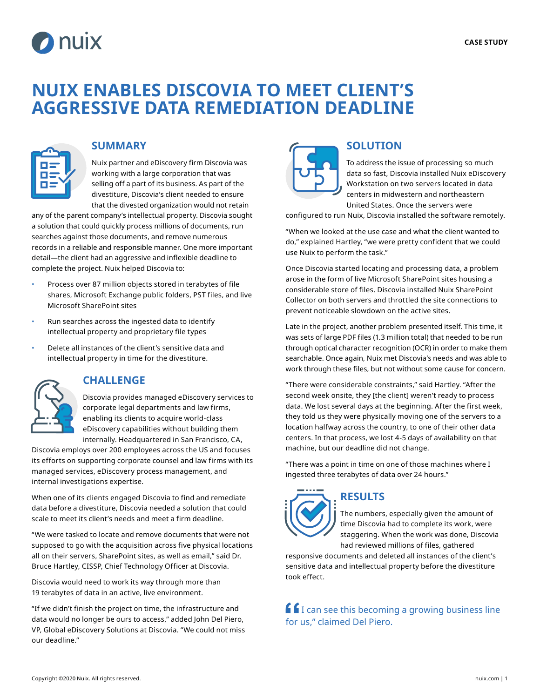

# **NUIX ENABLES DISCOVIA TO MEET CLIENT'S AGGRESSIVE DATA REMEDIATION DEADLINE**



### **SUMMARY**

Nuix partner and eDiscovery firm Discovia was working with a large corporation that was selling off a part of its business. As part of the divestiture, Discovia's client needed to ensure that the divested organization would not retain

any of the parent company's intellectual property. Discovia sought a solution that could quickly process millions of documents, run searches against those documents, and remove numerous records in a reliable and responsible manner. One more important detail—the client had an aggressive and inflexible deadline to complete the project. Nuix helped Discovia to:

- Process over 87 million objects stored in terabytes of file shares, Microsoft Exchange public folders, PST files, and live Microsoft SharePoint sites
- Run searches across the ingested data to identify intellectual property and proprietary file types
- Delete all instances of the client's sensitive data and intellectual property in time for the divestiture.



### **CHALLENGE**

Discovia provides managed eDiscovery services to corporate legal departments and law firms, enabling its clients to acquire world-class eDiscovery capabilities without building them internally. Headquartered in San Francisco, CA,

Discovia employs over 200 employees across the US and focuses its efforts on supporting corporate counsel and law firms with its managed services, eDiscovery process management, and internal investigations expertise.

When one of its clients engaged Discovia to find and remediate data before a divestiture, Discovia needed a solution that could scale to meet its client's needs and meet a firm deadline.

"We were tasked to locate and remove documents that were not supposed to go with the acquisition across five physical locations all on their servers, SharePoint sites, as well as email," said Dr. Bruce Hartley, CISSP, Chief Technology Officer at Discovia.

Discovia would need to work its way through more than 19 terabytes of data in an active, live environment.

"If we didn't finish the project on time, the infrastructure and data would no longer be ours to access," added John Del Piero, VP, Global eDiscovery Solutions at Discovia. "We could not miss our deadline."



### **SOLUTION**

To address the issue of processing so much data so fast, Discovia installed Nuix eDiscovery Workstation on two servers located in data centers in midwestern and northeastern United States. Once the servers were

configured to run Nuix, Discovia installed the software remotely.

"When we looked at the use case and what the client wanted to do," explained Hartley, "we were pretty confident that we could use Nuix to perform the task."

Once Discovia started locating and processing data, a problem arose in the form of live Microsoft SharePoint sites housing a considerable store of files. Discovia installed Nuix SharePoint Collector on both servers and throttled the site connections to prevent noticeable slowdown on the active sites.

Late in the project, another problem presented itself. This time, it was sets of large PDF files (1.3 million total) that needed to be run through optical character recognition (OCR) in order to make them searchable. Once again, Nuix met Discovia's needs and was able to work through these files, but not without some cause for concern.

"There were considerable constraints," said Hartley. "After the second week onsite, they [the client] weren't ready to process data. We lost several days at the beginning. After the first week, they told us they were physically moving one of the servers to a location halfway across the country, to one of their other data centers. In that process, we lost 4-5 days of availability on that machine, but our deadline did not change.

"There was a point in time on one of those machines where I ingested three terabytes of data over 24 hours."



## **RESULTS**

The numbers, especially given the amount of time Discovia had to complete its work, were staggering. When the work was done, Discovia had reviewed millions of files, gathered

responsive documents and deleted all instances of the client's sensitive data and intellectual property before the divestiture took effect.

 $\int f$  can see this becoming a growing business line for us," claimed Del Piero.